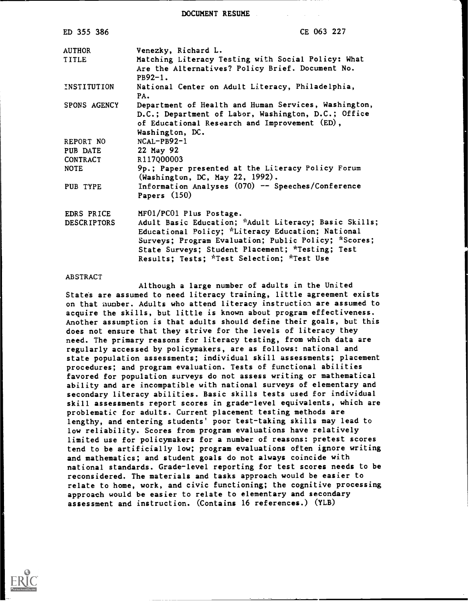DOCUMENT RESUME

| ED 355 386         | CE 063 227                                                                           |
|--------------------|--------------------------------------------------------------------------------------|
| <b>AUTHOR</b>      | Venezky, Richard L.                                                                  |
| <b>TITLE</b>       | Matching Literacy Testing with Social Policy: What                                   |
|                    | Are the Alternatives? Policy Brief. Document No.                                     |
|                    | $PB92-1.$                                                                            |
| INSTITUTION        | National Center on Adult Literacy, Philadelphia,<br>PA.                              |
| SPONS AGENCY       | Department of Health and Human Services, Washington,                                 |
|                    | D.C.; Department of Labor, Washington, D.C.; Office                                  |
|                    | of Educational Research and Improvement (ED),                                        |
|                    | Washington, DC.                                                                      |
| REPORT NO          | $NCAL-PB92-1$                                                                        |
| PUB DATE           | 22 May 92                                                                            |
| CONTRACT           | R117Q00003                                                                           |
| NOTE               | 9p.; Paper presented at the Literacy Policy Forum<br>(Washington, DC, May 22, 1992). |
| PUB TYPE           | Information Analyses (070) -- Speeches/Conference                                    |
|                    | Papers $(150)$                                                                       |
| EDRS PRICE         | MF01/PC01 Plus Postage.                                                              |
| <b>DESCRIPTORS</b> | Adult Basic Education; *Adult Literacy; Basic Skills;                                |
|                    | Educational Policy; *Literacy Education; National                                    |
|                    | Surveys: Program Evaluation; Public Policy; *Scores;                                 |
|                    | State Surveys; Student Placement; *Testing; Test                                     |
|                    | Results; Tests; *Test Selection; *Test Use                                           |

#### ABSTRACT

Although a large number of adults in the United States are assumed to need literacy training, little agreement exists on that number. Adults who attend literacy instruction are assumed to acquire the skills, but little is known about program effectiveness. Another assumption is that adults should define their goals, but this does not ensure that they strive for the levels of literacy they need. The primary reasons for literacy testing, from which data are regularly accessed by policymakers, are as follows: national and state population assessments; individual skill assessments; placement procedures; and program evaluation. Tests of functional abilities favored for population surveys do not assess writing or mathematical ability and are incompatible with national surveys of elementary and secondary literacy abilities. Basic skills tests used for individual skill assessments report scores in grade-level equivalents, which are problematic for adults. Current placement testing methods are lengthy, and entering students' poor test-taking skills may lead to low reliability. Scores from program evaluations have relatively limited use for policymakers for a number of reasons: pretest scores tend to be artificially low; program evaluations often ignore writing and mathematics; and student goals do not always coincide with national standards. Grade-level reporting for test scores needs to be reconsidered. The materials and tasks approach would be easier to relate to home, work, and civic functioning; the cognitive processing approach would be easier to relate to elementary and secondary assessment and instruction. (Contains 16 references.) (YLB)

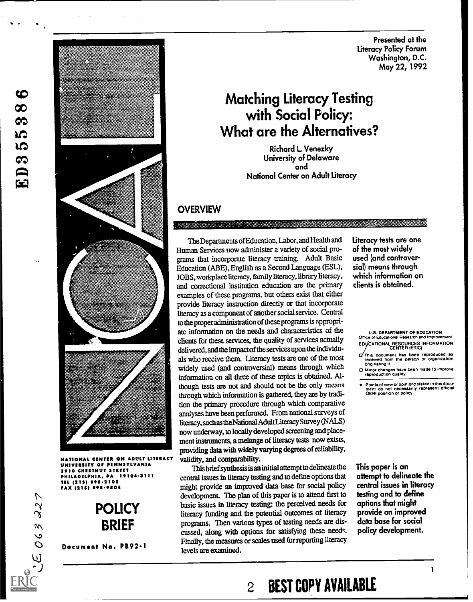Presented at the Literacy Policy Forum Washington, D.C. May 22, 1992

# Matching Literacy Testing with Social Policy: What are the Alternatives?

Richard L Venezky University of Delaware and National Center on Adult Literacy

# **OVERVIEW**

The Departments ofEducation, Labor, and Health and Human Services now administer a variety of social programs that incorporate literacy training. Adult Basic Education (ABE), English as a Second Language (ESL), JOBS, workplace literacy, family literacy, library literacy, and correctional institution education are the primary examples of these programs, but others exist that either provide literacy instruction directly or that incorporate literacy as a component of another social service. Central to the proper administration of these programs is appropriate information on the needs and characteristics of the clients for these services, the quality of services actually delivered, and the impactof the services upon the individuals who receive them. Literacy tests are one of the most widely used (and controversial) means through which information on all three of these topics is obtained. Although tests are not and should not be the only means through which information is gathered, they are by tradition the primary procedure through which comparative analyses have been performed. From national surveys of literacy, such as theNational AdultLiteracy Survey (NALS) now underway, to locally developed screening and placement instruments, a melange of literacy tests now exists, providing data with widely varying degrees of reliability, validity, and comparability.

This brief synthesis is an initial attempt to delineate the central issues in literacy testing and to define options that might provide an improved data base for social policy development. The plan of this paper is to attend first to basic issues in literacy testing: the perceived needs for literacy funding and the potential outcomes of literacy programs. Then various types of testing needs are discussed, along with options for satisfying these needs. Finally, the measures or scales used for reporting literacy levels are examined.

Literacy tests are one of the most widely used (and controversial) means through which information on clients is obtained.

U.S. DEPARTMENT Of EDUCATION Office of Educational Research and Impro EDUCATIONAL RESOURCES INFORMATION<br>CENTER (ERIC)

- Thus document has been reproduced as received from the person or organization originating it
- O Minor changes have been made to improve reproduction quality

Points of view or opinions stated in thus docu- ment do not necessarily represent official OERI position or policy

This paper is an attempt to delineate the central issues in literacy testing and to define options that might provide an improved data base for social policy development.



NANAL CENTER ON ADULT LI UNIVERSITY OF PENNSYLVANIA 3910 CHESTNUT STREET<br>DHILADELPHIA, PA 19104-3111 PHILADELPHIA, PA TEL (215) 898-2100 FAX (215) 898-9804

ဇ  $\infty$ က **LO LO**  $\infty$ 

 $\mathbf{E}$ 



Document No. PB92.1

 $\mathbf{I}$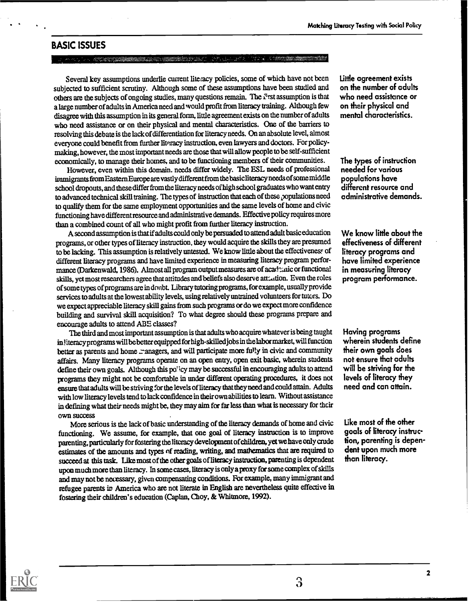### BASIC ISSUES

#### .: :'

Several key assumptions underlie current literacy policies, some of which have not been subjected to sufficient scrutiny. Although some of these assumptions have been studied and others are the subjects of ongoing studies, many questions remain. The  $\mathcal F$ rst assumption is that a large number of adults in America need and would profit from literacy training. Although few disagree with this assumption in its general form, little agreement exists on the number of adults who need assistance or on their physical and mental characteristics. One of the barriers to resolving this debate is the lack of differentiation for literacy needs. On an absolute level, almost everyone could benefit from further literacy instruction, even lawyers and doctors. For policy making, however, the most important needs are those that will allow people to be self-sufficient economically, to manage their homes, and to be functioning members of their communities.

However, even within this domain. needs differ widely. The ESL needs of professional immigrants from Eastern Europe are vastly different from the basic literacy needs of some middle school dropouts, and these differ from the literacy needs of high school graduates who want entry to advanced technical skill training. The types of instruction that each of these populations need to qualify them for the same employment opportunities and the same levels of home and civic functioning have different resource and administrative demands Effective policy requires more than a combined count of all who might profit from further literacy instruction.

A second assumption is that if adults could only be persuaded to attend adult basic education programs, or other types of literacy instruction, they would acquire the skills they are presumed to be lacking. This assumption is relatively untested. We know little about the effectiveness of different literacy programs and have limited experience in measuring literacy program performance (Darkenwald, 1986). Almost all program output measures are of acade anic or functional skills, yet most researchers agree that attitudes and beliefs also deserve att-...tion. Even the roles of some types of programs are in doubt. Library tutoring programs, for example, usually provide services to adults at the lowest ability levels, using relatively untrained volunteers for tutors. Do we expect appreciable literacy skill gains from such programs or do we expect more confidence building and survival skill acquisition? To what degree should these programs prepare and encourage adults to attend ABE classes?

The third and most important assumption is that adults who acquire whatever is being taught in literacy programs will be better equipped for high-skilled jobs in the labor market, will function better as parents and home managers, and will participate more fully in civic and community affairs. Many literacy programs operate on an open entry, open exit basic, wherein students define their own goals. Although this po<sup>ri</sup>cy may be successful in encouraging adults to attend programs they might not be comfortable in under different operating procedures, it does not ensure that adults will be striving for the levels of literacy that they need and could attain. Adults with low literacy levels tend to lack confidence in their own abilities to learn. Without assistance in defining what their needs might be, they may aim for far less than what is necessary for their own success

More serious is the lack of basic understanding of the literacy demands of home and civic functioning. We assume, for example, that one goal of literacy instruction is to improve parenting, particularly for fostering the literacy development of children, yet we have only crude estimates of the amounts and types of reading, writing, and mathematics that are required to succeed at this task. Like most of the other goals of literacy instruction, parenting is dependent upon mudi more than literacy. In some cases, literacy is only a proxy for some complex of skills and may not be necessary, given compensating conditions. For example, many immigrant and refugee parents in America who are not literate in English are nevertheless quite effective in fostering their children's education (Caplan, Choy, & Whitmore, 1992).

Little agreement exists on the number of adults who need assistance or on their physical and mental characteristics.

The types of instruction needed for various populations have different resource and administrative demands.

We know little about the effectiveness of different literacy programs and have limited experience in measuring literacy program performance.

Having programs wherein students define their own goals does not ensure that adults will be striving for the levels of literacy they need and can attain.

Like most of the other goals of literacy instruction, parenting is dependent upon much more than literacy.

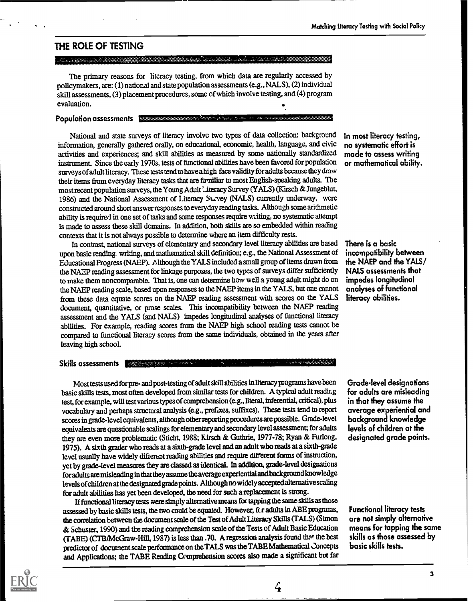# THE ROLE OF TESTING

<u> Kabupatèn Bandaran Ba</u>

The primary reasons for literacy testing, from which data are regularly accessed by policymakers, are: (1) national and state population assessments (e.g., NALS), (2) individual skill assessments, (3) placement procedures, some of which involve testing, and (4) program evaluation.

#### Population assessments Exam

National and state surveys of literacy involve two types of data collection: background information, generally gathered orally, on educational, economic, health, language, and civic activities and experiences; and skill abilities as measured by some nationally standardized instrument. Since the early 1970s, tests of functional abilities have been favored for population surveys of adult literacy. These tests tend to have a high face validity for adults because they draw their items from everyday literacy tasks that are familiar to most English-speaking adults. The most recent population surveys, the Young Adult Literacy Survey (YALS) (Kirsch & Jungeblut, 1986) and the National Assessment of Literacy Survey (NALS) currently underway, were constructed around short answer responses to everyday reading tacks. Although some arithmetic ability is required in one set of tasks and some responses require writing, no systematic attempt is made to assess these skill domains. In addition, both skills are so embedded within reading contexts that it is not always possible to determine where an item difficulty rests.

In contrast, national surveys of elementary and secondary level literacy abilities are based upon basic reading. writing, and mathematical skill definition; e.g., the National Assessment of Educational Progress (NAEP). Although the YALS included a small group of items drawn from the NAZP reading assessment for linkage purposes, the two types of surveys differ sufficiently to make them noncomparable. That is, one can determine how well a young adult might do on the NAEP reading scale, based upon responses to the NAEP items in the YALS, but one cannot from these data equate scores on the NAEP reading assessment with scores on the YALS document, quantitative, or prose scales. This incompatibility between the NAEP reading assessment and the YALS (and NALS) impedes longitudinal analyses of functional literacy abilities. For example, reading scores from the NAEP high school reading tests cannot be compared to functional literacy scores from the same individuals, obtained in the years after leaving high schooL

#### Skills assessments

Most tests used for pre- and post-testing of adult skill abilities in literacy programs have been basic skills tests, most often developed from similar tests for children. A typical adult reading test, for example, will test various types of comprehension (e.g., literal, inferential, critical), plus vocabulary and perhaps structural analysis (e.g., prefixes, suffixes). These tests tend to report scores in grade-level equivalents, although other reporting procedures are possible. Grade-level equivalents are questionable scalings for elementary and secondary level assessment; for adults they are even more problematic (Sticht, 1988; Kirsch & Guthrie, 1977-78; Ryan & Furlong, 1975). A sixth grader who reads at a sixth -grade level and an adult who reads at a sixth-grade level usually have widely different reading abilities and require different forms of instruction, yet by grade-level measures they are classed as identical. In addition, grade-level designations for adults are misleading in that they assume the average experiential and background knowledge levels ofchildren at the designated grade points. Although no widely accepted alternative scaling for adult abilities has yet been developed, the need for such a replacement is strong.

If functional literacy tests were simply alternative means for tapping the same skills as those assessed by basic skills tests, the two could be equated. However, fc r adults in ABE programs, the correlation between the document scale of the Test of Adult Literacy Skills (TALS)(Simon & Schuster, 1990) and the reading comprehension scale of the Tests of Adult Basic Education (TABE) (CTB/McGraw-Hill, 1987) is less than 70 A regression analysis found that the best predictor of document scale performance on the TALS was the TABE Mathematical concepts and Applications; the TABE Reading Comprehension scores also made a significant but far

In most literacy testing, no systematic effort is made to assess writing or mathematical ability.

There is a basic incompatibility between the NAEP and the YALS/ NALS assessments that impedes longitudinal analyses of functional literacy abilities.

Grade-level designations for adults are misleading in that they assume the average experiential and background knowledge levels of children at the designated grade points.

Functional literacy tests are not simply alternative means for tapping the some skills as those assessed by basic skills tests.



 $\mathcal{L}_{\mathbf{r}}$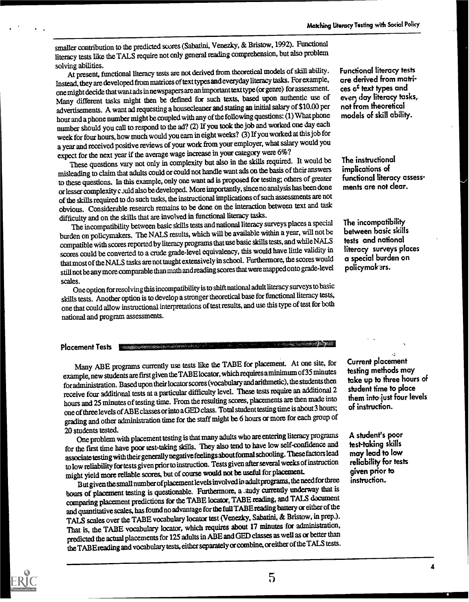smaller contribution to the predicted scores (Sabatini, Venezky, & Bristow, 1992). Functional literacy tests like the TALS require not only general reading comprehension, but also problem

solving abilities.<br>At present, functional literacy tests are not derived from theoretical models of skill ability. Functional Instead, they are developed from matrices of text types and everyday literacy tasks. For example, one might decide that want ads in newspapers are an important text type (or genre) for assessment. Many different tasks might then be defined for such texts, based upon authentic use of advertisements. A want ad requesting a housecleaner and stating an initial salary of \$10.00 per hour and a phone number might be coupled with any of the following questions: (1) What phone number should you call to respond to the ad? (2) If you took the job and worked one day each week for four hours, how much would you earn in eight weeks? (3) If you worked at this job for a year and received positive reviews of your work from your employer, what salary would you expect for the next year if the average wage increase in your category were 6%?

These questions vary not only in complexity but also in the skills required. It would be misleading to claim that adults could or could not handle wantads on the basis of their answers to these questions. In this example, only onewant ad is proposed for testing; others of greater or lesser complexity c Juld also bedeveloped. More importantly, sinceno analysis has been done of the skills required to do such tasks, the instructional implications of such assessments are not obvious. Considerable research remains to be done on the interaction between text and task difficulty and on the skills that are involved in functional literacy tasks.

The incompatibility between basic skills tests and national literacy surveys places a special burden on policymakers. The NALS results, which will be available within a year, will not be compatible with scores reported by literacy programs that use basic skills tests, and while NALS scores could be converted to a crude grade-level equivalency, this would have little validity in that most of the NALS tasks are not taught extensively in school. Furthermore, the scores would still not be any more comparable than math andreading scores that were mapped onto grade-level

scales. One option for resolving this incompatibility is to shift national adult literacy surveys to basic skills tests. Another option is to develop a stronger theoretical base for functional literacy tests, one that could allow instructional interpretations of test results, and use this type of test forboth national and program assessments.

#### Placement Tests |

Many ABE programs currently use tests like the TABE for placement. At one site, for example, new students are first given the TABElocator, which requires aminimum of 35 minutes foradministration. Based upon their locator scores (vocabulary and arithmetic), the students then receive four additional tests at a particular difficulty level. These tests require an additional2 hours and 25 minutes of testing time. From the resulting scores, placements are then made into one of three levels of ABE classes orinto a GED class. Total student testing time is about 3 hours; grading and other administration time for the staff might be 6 hours or more for each group of

20 students tested. One problem with placement testing is that many adults who are entering literacy programs for the first time have poor test-taking skills. They also tend to have low self-confidence and associate testing with their generally negative feelings about formal schooling. These factors lead to low reliability for tests given prior to instruction. Tests given after several weeks of instruction might yield more reliable scores, but of course would not be useful for placement.

But given the small number of placement levelsinvolved in adult programs, the need for three hours of placement testing is questionable. Furthermore, a study currently underway that is comparing placement predictions for the TABE locator, TABE reading, and TALS document and quantitative scales, has found no advantage for the full TABE reading battery or either of the TALS scales over the TABE vocabulary locator test (Venezky, Sabatini, & Bristow, in prep.). That is, the TARE vocabulary locator, which requires about 17 minutes for administration, predicted the actual placements for 125 adultsin ABE and GED classes as well as or better than the TAB E reading and vocabulary tests, either separately or combine, or either of theTALS tests.

Functional literacy tests are derived from matrices of text types and ever) day literacy tasks, not from theoretical models of skill ability.

The instructional implications of functional literacy assessments are not clear.

The incompatibility between basic skills tests and national literacy surveys places a special burden on policymak ars.

Current placement testing methods may take up to three hours of student time to place them into-just four levels of instruction.

A student's poor test-taking skills may lead to low reliability for tests given prior to instruction.



4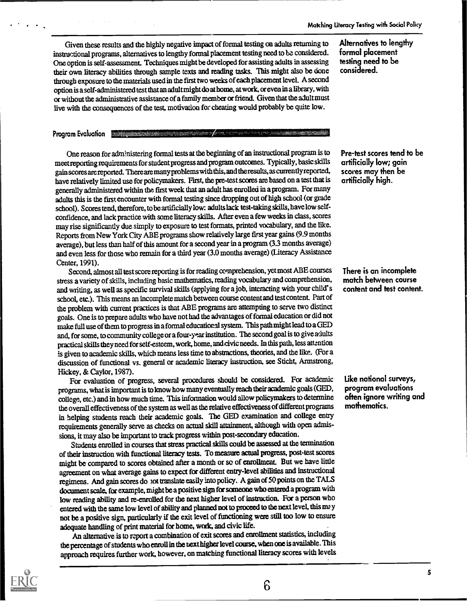Given these results and the highly negative impact of formal testing on adults returning to instructional programs, alternatives to lengthy formal placement testing need to be considered. One option is self-assessment. Techniques might be developed for assisting adults in assessing their own literacy abilities through sample texts and reading tasks. This might also be done through exposure to the materials used in the first two weeks of each placement level. A second option is a self-administered test that an adult might do at home, at work, or even in a library, with or without the administrative assistance of a family member or friend. Given that the adult must live with the consequences of the test, motivation for cheating would probably be quite low.

#### Program Evaluation

One reason for administering formal tests at the beginning of an instructional program is to meet reporting requirements for student progress and program outcomes. Typically, basic skills gain scores are reported. There are many problems with this, and theresults, as currently reported, have relatively limited use for policymakers. First, the pre-test scores are based on a test that is generally administered within the first week that an adult has enrolled in a program. For many adults this is the first encounter with formal testing since dropping out of high school (or grade school). Scores tend, therefore, to be artificially low: adults lack test-taking skills, have low selfconfidence, and lack practice with some literacy skills. After even a few weeks in class, scores may rise significantly due simply to exposure to test formats, printed vocabulary, and the like. Reports from New York City ABE programs show relatively large first year gains (9.9 months average), but less than half of this amount for a second year in a program (3.3 months average) and even less for those who remain for a third year (3.0 months average) (Literacy Assistance Center, 1991).

Second, almost all test score reporting is for reading comprehension, yet most ABE courses stress a variety of skills, including basic mathematics, reading vocabulary and comprehension, and writing, as well as specific survival skills (applying fora job, interacting with your child's school, etc.). This means an incomplete match between course content and test content. Part of the problem with current practices is that ABE programs are attempting to serve two distinct goals. One is to prepare adults who have not had the advantages of formal education or did not make full use of them to progress in a formal educational system. This path might lead to a GED and, for some, to community college or a four-year institution. The second goal is to give adults practical skills they need for self-esteem, work, home, and civic needs. In this path, less attention is given to academic skills, which means less time to abstractions, theories, and the like. (For a discussion of functional vs. general or academic literacy instruction, see Sticht, Armstrong, Hickey, & Caylor, 1987).

For evaluation of progress, several procedures should be considered. For academic programs, what is important is to know how many eventually reach their academic goals (GED, college, etc.) and in how much time. This information would allow policymakers to determine the overall effectiveness of the system as well as the relative effectiveness of different programs in helping students reach their academic goals. The GED examination and college entry requirements generally serve as checks on actual skill attainment, although with open admissions, it may also be important to track progress within post-secondary education.

Students enrolled in courses that stress practical skills could be assessed at the termination of their instruction with functional literacy tests. To measure actual progress, post-test scores might be compared to scores obtained after a month or so of enrollment. But we have little agreement on what average gains to expect for different entry-level abilities and instructional regimens. And gain scores do not translate easily into policy. A gain of 50 points on the TALS document scale, for example, might be a positive sign for someone who entered a program with low reading ability and re-enrolled for the next higher level of instruction. For a person who entered with the same low level of ability and planned not to proceed to the next level, this ma y not be a positive sign, particularly if the exit level of functioning were still too low to ensure adequate handling of print material for home, work, and civic life.

An alternative is to report a combination of exit scores and enrollment statistics, including the percentage of students who enroll in the next higher level course, when one is available. This approach requires further work, however, on matching functional literacy scores with levels

Alternatives to lengthy formal placement testing need to be considered.

Pre-test scores tend to be artificially low; gain scores may then be artificially high.

There is an incomplete match between course content and test content.

Like national surveys, program evaluations often ignore writing and mathematics.



6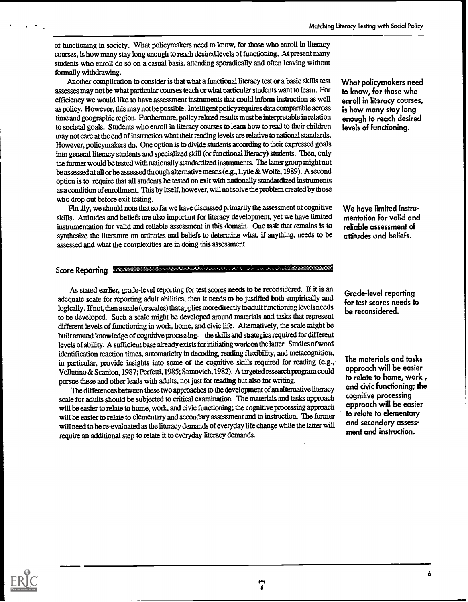of functioning in society. What policymakers need to know, for those who enroll in literacy courses, is how many stay long enough to reach desired.levels of functioning. At present many students who enroll do so on a casual basis, attending sporadically and often leaving without formally withdrawing.

Mother complication to consider is that what a functional literacy test or a basic skills test assesses may not be what particular courses teach or what particular students want to learn. For efficiency we would like to have assessment instruments that could inform instruction as well as policy. However, this may not be possible. Intelligent policy requires data comparable across time and geographic region. Furthermore, policy related results must be interpretable in relation to societal goals. Students who enroll in literacy courses to learn how to read to their children may not care at the end of instruction what their reading levels are relative to national standards. However, policymakers do. One option is to divide students according to their expressed goals into general literacy students and specialized skill (or functional literacy) students. Then, only the former would be tested with nationally standardized instruments. The latter group might not be assessed at all or be assessed through alternative means (e.g., Lytle & Wolfe, 1989). A second option is to require that all students be tested on exit with nationally standardized instruments as a condition of enrollment. This by itself, however, will not solve the problem created by those who drop out before exit testing.

Fin lly, we should note that so far we have discussed primarily the assessment of cognitive skills. Attitudes and beliefs are also important for literacy development, yet we have limited instrumentation for valid and reliable assessment in this domain. One task that remains is to synthesize the literature on attitudes and beliefs to determine what, if anything, needs to be assessed and what the complexities are in doing this assessment

## Score Reporting

As stated earlier, grade -level reporting for test scores needs to be reconsidered. If it is an adequate scale for reporting adult abilities, then it needs to be justified both empirically and logically. Ifnot, then a scale (or scales) that applies more directly to adult functioning levels needs to be developed. Such a scale might be developed around materials and tasks that represent different levels of functioning in work, home, and civic life. Alternatively, the scale might be built around knowledge of cognitive processing-the skills and strategies required for different levels of ability. A sufficient base already exists for initiating work on the latter. Studies of word identification reaction times, automaticity in decoding, reading flexibility, and metacognition, in particular, provide insights into some of the cognitive skills required for reading (e.g., Vellutino & Scanlon, 1987; Perfetti, 1985; Stanovich, 1982). A targeted research program could pursue these and other leads with adults, not just for reading but also for writing.

The differences between these two approaches to the development of an alternative literacy scale for adults should be subjected to critical examination. The materials and tasks approach will be easier to relate to home, work, and civic functioning; the cognitive processing approach will be easier to relate to elementary and secondary assessment and to instruction. The former will need to be re-evaluated as the literacy demands of everyday life change while the latter will require an additional step to relate it to everyday literacy demands.

What policymakers need to know, for those who enroll in literacy courses, is how many stay long enough to reach desired levels of functioning.

We have limited instrumentation for valid and reliable assessment of attitudes and beliefs.

Grade-level reporting for test scores needs to be reconsidered.

The materials and tasks approach will be easier to relate to home, work , and civic functioning; the cognitive processing approach will be easier to relate to elementary and secondary assessment and instruction.

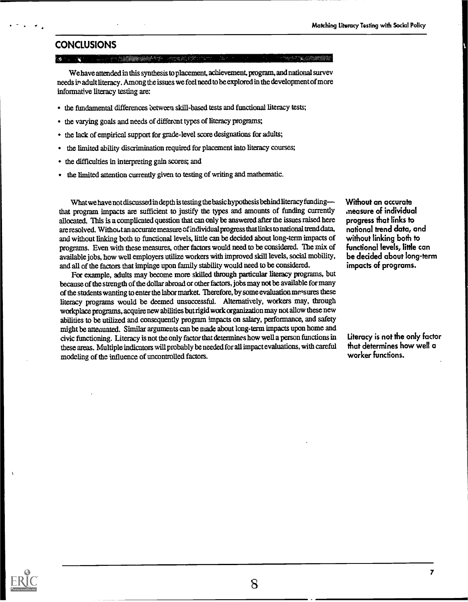## **CONCLUSIONS**

海外の海外 (の) (の) (の)

We have attended in this synthesis to placement, achievement, program, and national survey needs in adult literacy. Among the issues we feel need to be explored in the development of more informative literacy testing are:

- the fundamental differences between skill-based tests and functional literacy tests;
- the varying goals and needs of different types of literacy programs; ٠
- the lack of empirical support for grade-level score designations for adults;
- the limited ability discrimination required for placement into literacy courses;
- the difficulties in interpreting gain scores; and
- the limited attention currently given to testing of writing and mathematic.

What we have not discussed in depth is testing the basic hypothesis behind literacy funding that program impacts are sufficient to justify the types and amounts of funding currently allocated. This is a complicated question that can only be answered after the issues raised here are resolved. Without an accurate measure of individual progress that links to national trend data, and without linking both to functional levels, little can be decided about long-term impacts of programs. Even with these measures, other factors would need to be considered. The mix of available jobs, how well employers utilize workers with improved skill levels, social mobility, and all of the factors that impinge upon family stability would need to be considered.

For example, adults may become more skilled through particular literacy programs, but because of the strength of the dollar abroad or other factors, jobs may not be available for many of the students wanting to enter the labor market. Therefore, by some evaluation measures these literacy programs would be deemed unsuccessful. Alternatively, workers may, through workplace programs, acquire new abilities but rigid work organization may not allow these new abilities to be utilized and consequently program impacts on salary, performance, and safety might be attenuated. Similar arguments can be made about long-term impacts upon home and civic functioning. Literacy is not the only factor that determines how well a person functions in these areas. Multiple indicators will probably be needed for all impact evaluations, with careful modeling of the influence of uncontrolled factors.

Without an accurate ,measure of individual progress that links to national trend data, and without linking both to functional levels, little can be decided about long-term impacts of programs.

Literacy is not the only factor that determines how well a worker functions.